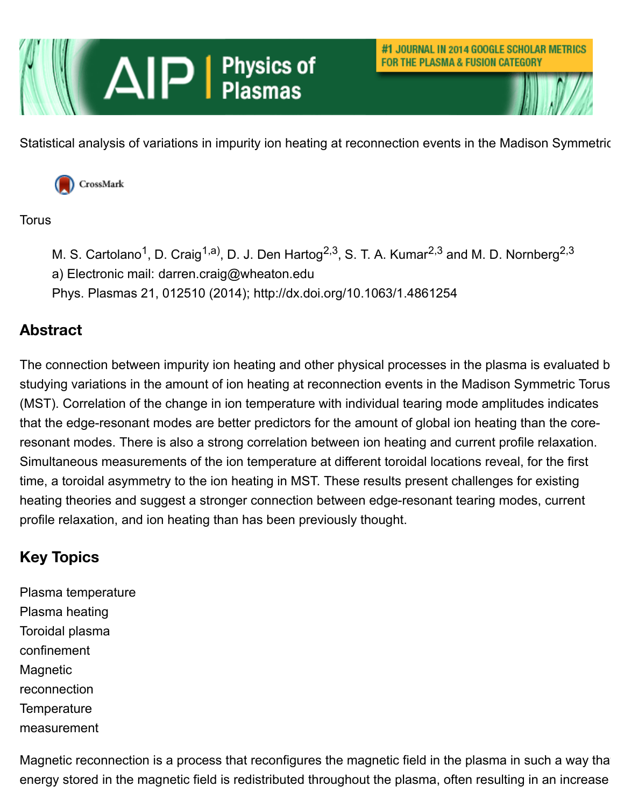



Statistical analysis of variations in impurity ion heating at reconnection events in the Madison Symmetric



Torus

[M. S. Cartolano](http://scitation.aip.org/content/contributor/AU1051015)<sup>1</sup>, [D. Craig](http://scitation.aip.org/search?value1=D.+Craig&option1=author&option912=resultCategory&value912=ResearchPublicationContent)<sup>1,a)</sup>, [D. J. Den Hartog](http://scitation.aip.org/content/contributor/AU0852534)<sup>2,3</sup>, [S. T. A. Kumar](http://scitation.aip.org/content/contributor/AU0877783)<sup>2,3</sup> and [M. D. Nornberg](http://scitation.aip.org/content/contributor/AU0178233)<sup>2,3</sup> a) Electronic mail: [darren.craig@wheaton.edu](mailto:darren.craig@wheaton.edu) Phys. Plasmas 21, 012510 (2014);<http://dx.doi.org/10.1063/1.4861254>

# **Abstract**

The connection between impurity ion heating and other physical processes in the plasma is evaluated b studying variations in the amount of ion heating at reconnection events in the Madison Symmetric Torus (MST). Correlation of the change in ion temperature with individual tearing mode amplitudes indicates that the edge-resonant modes are better predictors for the amount of global ion heating than the coreresonant modes. There is also a strong correlation between ion heating and current profile relaxation. Simultaneous measurements of the ion temperature at different toroidal locations reveal, for the first time, a toroidal asymmetry to the ion heating in MST. These results present challenges for existing heating theories and suggest a stronger connection between edge-resonant tearing modes, current profile relaxation, and ion heating than has been previously thought.

# **Key Topics**

[Plasma temperature](http://scitation.aip.org/content/topic/plasma-temperature) [Plasma heating](http://scitation.aip.org/content/topic/plasma-heating) [Toroidal plasma](http://scitation.aip.org/content/topic/toroidal-plasma-confinement) confinement Magnetic [reconnection](http://scitation.aip.org/content/topic/magnetic-reconnection) **Temperature** [measurement](http://scitation.aip.org/content/topic/temperature-measurement)

Magnetic reconnection is a process that reconfigures the magnetic field in the plasma in such a way that energy stored in the magnetic field is redistributed throughout the plasma, often resulting in an increase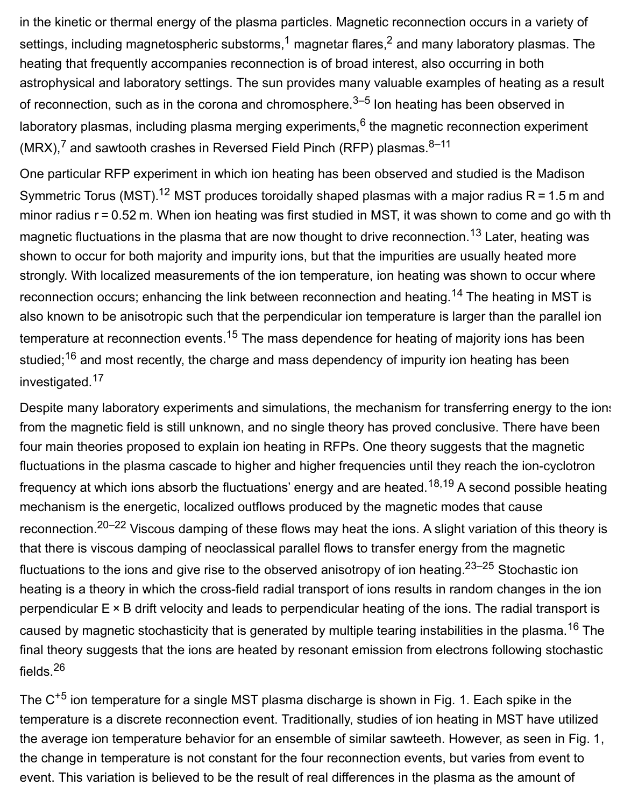in the kinetic or thermal energy of the plasma particles. Magnetic reconnection occurs in a variety of settings, including magnetospheric substorms,<sup>1</sup> magnetar flares,<sup>2</sup> and many laboratory plasmas. The heating that frequently accompanies reconnection is of broad interest, also occurring in both astrophysical and laboratory settings. The sun provides many valuable examples of heating as a result of reconnection, such as in the corona and chromosphere. $3-5$  lon heating has been observed in laboratory plasmas, including plasma merging experiments,<sup>[6](http://scitation.aip.org/content/aip/journal/pop/21/1/10.1063/1.4861254#c6)</sup> the magnetic reconnection experiment (MRX),<sup>[7](http://scitation.aip.org/content/aip/journal/pop/21/1/10.1063/1.4861254#c7)</sup> and sawtooth crashes in Reversed Field Pinch (RFP) plasmas.  $8-11$ 

One particular RFP experiment in which ion heating has been observed and studied is the Madison Symmetric Torus (MST).<sup>12</sup> MST produces toroidally shaped plasmas with a major radius R = 1.5 m and minor radius  $r = 0.52$  m. When ion heating was first studied in MST, it was shown to come and go with the magnetic fluctuations in the plasma that are now thought to drive reconnection.<sup>[13](http://scitation.aip.org/content/aip/journal/pop/21/1/10.1063/1.4861254#c13)</sup> Later, heating was shown to occur for both majority and impurity ions, but that the impurities are usually heated more strongly. With localized measurements of the ion temperature, ion heating was shown to occur where reconnection occurs; enhancing the link between reconnection and heating.<sup>[14](http://scitation.aip.org/content/aip/journal/pop/21/1/10.1063/1.4861254#c14)</sup> The heating in MST is also known to be anisotropic such that the perpendicular ion temperature is larger than the parallel ion temperature at reconnection events.<sup>15</sup> The mass dependence for heating of majority ions has been studied;<sup>16</sup> and most recently, the charge and mass dependency of impurity ion heating has been investigated.<sup>[17](http://scitation.aip.org/content/aip/journal/pop/21/1/10.1063/1.4861254#c17)</sup>

Despite many laboratory experiments and simulations, the mechanism for transferring energy to the ions from the magnetic field is still unknown, and no single theory has proved conclusive. There have been four main theories proposed to explain ion heating in RFPs. One theory suggests that the magnetic fluctuations in the plasma cascade to higher and higher frequencies until they reach the ion-cyclotron frequency at which ions absorb the fluctuations' energy and are heated.<sup>[18,19](http://scitation.aip.org/content/aip/journal/pop/21/1/10.1063/1.4861254#c18)</sup> A second possible heating mechanism is the energetic, localized outflows produced by the magnetic modes that cause reconnection[.20–22](http://scitation.aip.org/content/aip/journal/pop/21/1/10.1063/1.4861254#c20) Viscous damping of these flows may heat the ions. A slight variation of this theory is that there is viscous damping of neoclassical parallel flows to transfer energy from the magnetic fluctuations to the ions and give rise to the observed anisotropy of ion heating.<sup>23–25</sup> Stochastic ion heating is a theory in which the cross-field radial transport of ions results in random changes in the ion perpendicular  $E \times B$  drift velocity and leads to perpendicular heating of the ions. The radial transport is caused by magnetic stochasticity that is generated by multiple tearing instabilities in the plasma.<sup>[16](http://scitation.aip.org/content/aip/journal/pop/21/1/10.1063/1.4861254#c16)</sup> The final theory suggests that the ions are heated by resonant emission from electrons following stochastic fields.[26](http://scitation.aip.org/content/aip/journal/pop/21/1/10.1063/1.4861254#c26)

The  $C^{+5}$  ion temperature for a single MST plasma discharge is shown in Fig. [1](http://scitation.aip.org/content/aip/journal/pop/21/1/10.1063/1.4861254#f1). Each spike in the temperature is a discrete reconnection event. Traditionally, studies of ion heating in MST have utilized the average ion temperature behavior for an ensemble of similar sawteeth. However, as seen in Fig. [1](http://scitation.aip.org/content/aip/journal/pop/21/1/10.1063/1.4861254#f1), the change in temperature is not constant for the four reconnection events, but varies from event to event. This variation is believed to be the result of real differences in the plasma as the amount of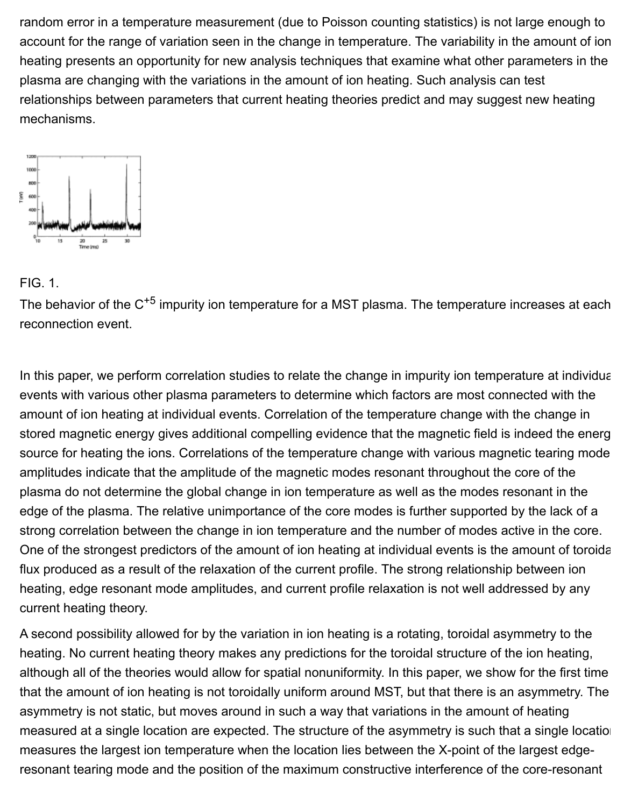random error in a temperature measurement (due to Poisson counting statistics) is not large enough to account for the range of variation seen in the change in temperature. The variability in the amount of ion heating presents an opportunity for new analysis techniques that examine what other parameters in the plasma are changing with the variations in the amount of ion heating. Such analysis can test relationships between parameters that current heating theories predict and may suggest new heating mechanisms.



#### FIG. 1.

The behavior of the C<sup>+5</sup> impurity ion temperature for a MST plasma. The temperature increases at each reconnection event.

In this paper, we perform correlation studies to relate the change in impurity ion temperature at individual events with various other plasma parameters to determine which factors are most connected with the amount of ion heating at individual events. Correlation of the temperature change with the change in stored magnetic energy gives additional compelling evidence that the magnetic field is indeed the energ source for heating the ions. Correlations of the temperature change with various magnetic tearing mode amplitudes indicate that the amplitude of the magnetic modes resonant throughout the core of the plasma do not determine the global change in ion temperature as well as the modes resonant in the edge of the plasma. The relative unimportance of the core modes is further supported by the lack of a strong correlation between the change in ion temperature and the number of modes active in the core. One of the strongest predictors of the amount of ion heating at individual events is the amount of toroidal flux produced as a result of the relaxation of the current profile. The strong relationship between ion heating, edge resonant mode amplitudes, and current profile relaxation is not well addressed by any current heating theory.

A second possibility allowed for by the variation in ion heating is a rotating, toroidal asymmetry to the heating. No current heating theory makes any predictions for the toroidal structure of the ion heating, although all of the theories would allow for spatial nonuniformity. In this paper, we show for the first time that the amount of ion heating is not toroidally uniform around MST, but that there is an asymmetry. The asymmetry is not static, but moves around in such a way that variations in the amount of heating measured at a single location are expected. The structure of the asymmetry is such that a single location measures the largest ion temperature when the location lies between the X-point of the largest edgeresonant tearing mode and the position of the maximum constructive interference of the core-resonant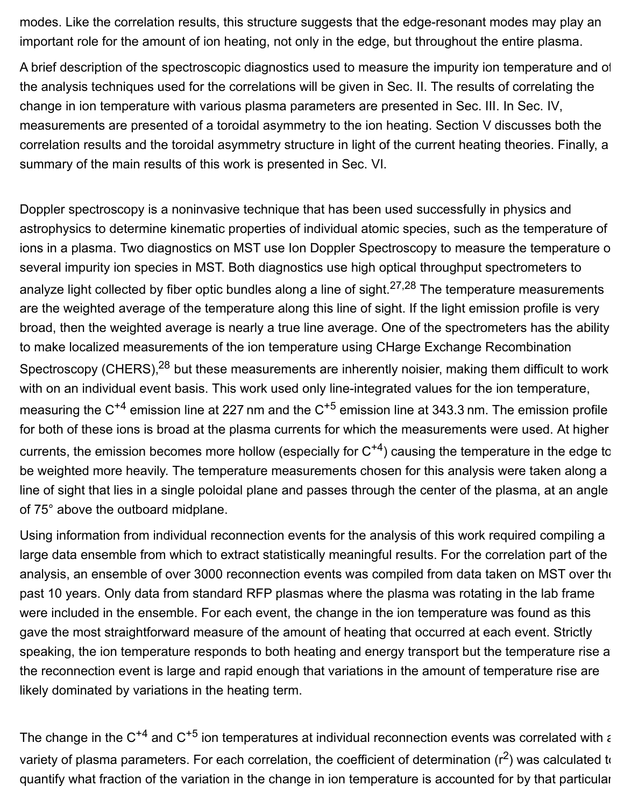modes. Like the correlation results, this structure suggests that the edge-resonant modes may play an important role for the amount of ion heating, not only in the edge, but throughout the entire plasma.

A brief description of the spectroscopic diagnostics used to measure the impurity ion temperature and of the analysis techniques used for the correlations will be given in Sec. [II](http://scitation.aip.org/content/aip/journal/pop/21/1/10.1063/1.4861254#s2). The results of correlating the change in ion temperature with various plasma parameters are presented in Sec. [III.](http://scitation.aip.org/content/aip/journal/pop/21/1/10.1063/1.4861254#s3) In Sec. [IV](http://scitation.aip.org/content/aip/journal/pop/21/1/10.1063/1.4861254#s4), measurements are presented of a toroidal asymmetry to the ion heating. Section [V](http://scitation.aip.org/content/aip/journal/pop/21/1/10.1063/1.4861254#s5) discusses both the correlation results and the toroidal asymmetry structure in light of the current heating theories. Finally, a summary of the main results of this work is presented in Sec. [VI](http://scitation.aip.org/content/aip/journal/pop/21/1/10.1063/1.4861254#s6).

Doppler spectroscopy is a noninvasive technique that has been used successfully in physics and astrophysics to determine kinematic properties of individual atomic species, such as the temperature of ions in a plasma. Two diagnostics on MST use Ion Doppler Spectroscopy to measure the temperature of several impurity ion species in MST. Both diagnostics use high optical throughput spectrometers to analyze light collected by fiber optic bundles along a line of sight.<sup>[27,28](http://scitation.aip.org/content/aip/journal/pop/21/1/10.1063/1.4861254#c27)</sup> The temperature measurements are the weighted average of the temperature along this line of sight. If the light emission profile is very broad, then the weighted average is nearly a true line average. One of the spectrometers has the ability to make localized measurements of the ion temperature using CHarge Exchange Recombination Spectroscopy (CHERS),<sup>28</sup> but these measurements are inherently noisier, making them difficult to work with on an individual event basis. This work used only line-integrated values for the ion temperature, measuring the  $C^{+4}$  emission line at 227 nm and the  $C^{+5}$  emission line at 343.3 nm. The emission profile for both of these ions is broad at the plasma currents for which the measurements were used. At higher currents, the emission becomes more hollow (especially for  $C^{+4}$ ) causing the temperature in the edge to be weighted more heavily. The temperature measurements chosen for this analysis were taken along a line of sight that lies in a single poloidal plane and passes through the center of the plasma, at an angle of 75° above the outboard midplane.

Using information from individual reconnection events for the analysis of this work required compiling a large data ensemble from which to extract statistically meaningful results. For the correlation part of the analysis, an ensemble of over 3000 reconnection events was compiled from data taken on MST over the past 10 years. Only data from standard RFP plasmas where the plasma was rotating in the lab frame were included in the ensemble. For each event, the change in the ion temperature was found as this gave the most straightforward measure of the amount of heating that occurred at each event. Strictly speaking, the ion temperature responds to both heating and energy transport but the temperature rise at the reconnection event is large and rapid enough that variations in the amount of temperature rise are likely dominated by variations in the heating term.

The change in the  $C^{+4}$  and  $C^{+5}$  ion temperatures at individual reconnection events was correlated with a variety of plasma parameters. For each correlation, the coefficient of determination ( $r^2$ ) was calculated to quantify what fraction of the variation in the change in ion temperature is accounted for by that particular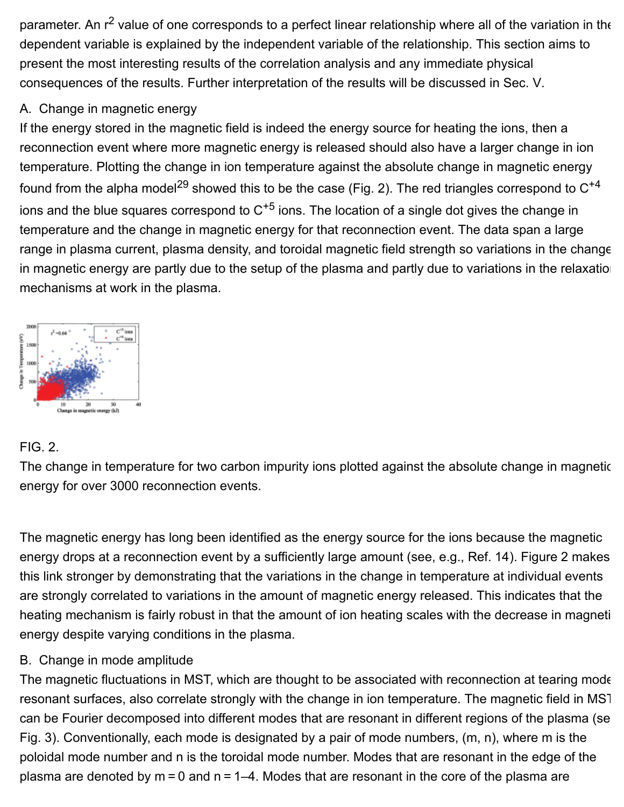parameter. An r<sup>2</sup> value of one corresponds to a perfect linear relationship where all of the variation in the dependent variable is explained by the independent variable of the relationship. This section aims to present the most interesting results of the correlation analysis and any immediate physical consequences of the results. Further interpretation of the results will be discussed in Sec. [V](http://scitation.aip.org/content/aip/journal/pop/21/1/10.1063/1.4861254#s5).

# A. Change in magnetic energy

If the energy stored in the magnetic field is indeed the energy source for heating the ions, then a reconnection event where more magnetic energy is released should also have a larger change in ion temperature. Plotting the change in ion temperature against the absolute change in magnetic energy found from the alpha model<sup>[29](http://scitation.aip.org/content/aip/journal/pop/21/1/10.1063/1.4861254#c29)</sup> showed this to be the case (Fig. [2](http://scitation.aip.org/content/aip/journal/pop/21/1/10.1063/1.4861254#f2)). The red triangles correspond to  $C^{+4}$ ions and the blue squares correspond to  $C^{+5}$  ions. The location of a single dot gives the change in temperature and the change in magnetic energy for that reconnection event. The data span a large range in plasma current, plasma density, and toroidal magnetic field strength so variations in the change in magnetic energy are partly due to the setup of the plasma and partly due to variations in the relaxation mechanisms at work in the plasma.



# FIG. 2.

The change in temperature for two carbon impurity ions plotted against the absolute change in magnetic energy for over 3000 reconnection events.

The magnetic energy has long been identified as the energy source for the ions because the magnetic energy drops at a reconnection event by a sufficiently large amount (see, e.g., Ref. [14](http://scitation.aip.org/content/aip/journal/pop/21/1/10.1063/1.4861254#c14)). Figure [2](http://scitation.aip.org/content/aip/journal/pop/21/1/10.1063/1.4861254#f2) makes this link stronger by demonstrating that the variations in the change in temperature at individual events are strongly correlated to variations in the amount of magnetic energy released. This indicates that the heating mechanism is fairly robust in that the amount of ion heating scales with the decrease in magneti energy despite varying conditions in the plasma.

# B. Change in mode amplitude

The magnetic fluctuations in MST, which are thought to be associated with reconnection at tearing mode resonant surfaces, also correlate strongly with the change in ion temperature. The magnetic field in MST can be Fourier decomposed into different modes that are resonant in different regions of the plasma (see Fig. [3](http://scitation.aip.org/content/aip/journal/pop/21/1/10.1063/1.4861254#f3)). Conventionally, each mode is designated by a pair of mode numbers, (m, n), where m is the poloidal mode number and n is the toroidal mode number. Modes that are resonant in the edge of the plasma are denoted by  $m = 0$  and  $n = 1-4$ . Modes that are resonant in the core of the plasma are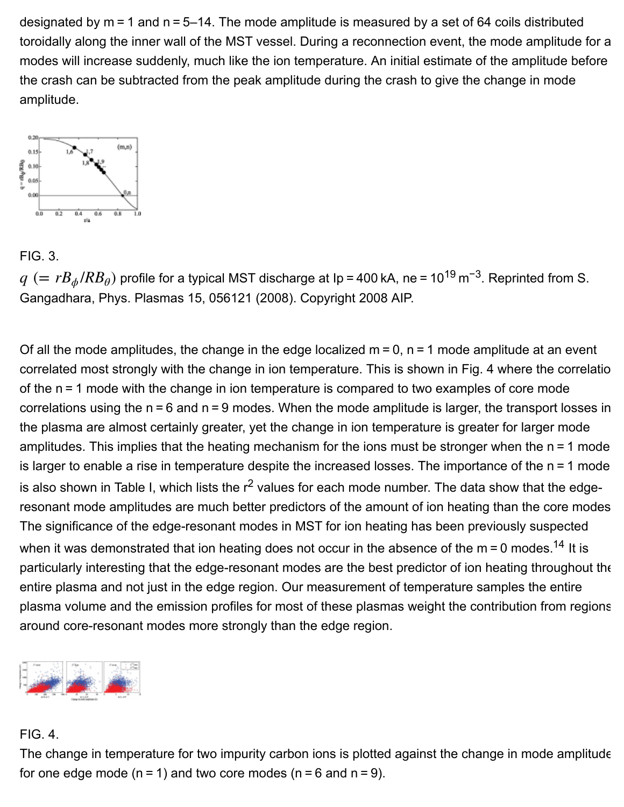designated by  $m = 1$  and  $n = 5-14$ . The mode amplitude is measured by a set of 64 coils distributed toroidally along the inner wall of the MST vessel. During a reconnection event, the mode amplitude for a modes will increase suddenly, much like the ion temperature. An initial estimate of the amplitude before the crash can be subtracted from the peak amplitude during the crash to give the change in mode amplitude.



FIG. 3.

 $q\ (= rB_\phi/RB_\theta)$  profile for a typical MST discharge at Ip = 400 kA, ne = 10<sup>19</sup> m<sup>−3</sup>. Reprinted from S. Gangadhara, Phys. Plasmas 15, 056121 (2008). Copyright 2008 AIP.

Of all the mode amplitudes, the change in the edge localized  $m = 0$ ,  $n = 1$  mode amplitude at an event correlated most strongly with the change in ion temperature. This is shown in Fig. [4](http://scitation.aip.org/content/aip/journal/pop/21/1/10.1063/1.4861254#f4) where the correlation of the n = 1 mode with the change in ion temperature is compared to two examples of core mode correlations using the n = 6 and n = 9 modes. When the mode amplitude is larger, the transport losses in the plasma are almost certainly greater, yet the change in ion temperature is greater for larger mode amplitudes. This implies that the heating mechanism for the ions must be stronger when the  $n = 1$  mode is larger to enable a rise in temperature despite the increased losses. The importance of the n = 1 mode is also shown in Table [I](http://scitation.aip.org/content/aip/journal/pop/21/1/10.1063/1.4861254#t1), which lists the  $r^2$  values for each mode number. The data show that the edgeresonant mode amplitudes are much better predictors of the amount of ion heating than the core modes The significance of the edge-resonant modes in MST for ion heating has been previously suspected when it was demonstrated that ion heating does not occur in the absence of the  $m = 0$  modes.<sup>14</sup> It is particularly interesting that the edge-resonant modes are the best predictor of ion heating throughout the entire plasma and not just in the edge region. Our measurement of temperature samples the entire plasma volume and the emission profiles for most of these plasmas weight the contribution from regions around core-resonant modes more strongly than the edge region.



#### FIG. 4.

The change in temperature for two impurity carbon ions is plotted against the change in mode amplitude for one edge mode  $(n = 1)$  and two core modes  $(n = 6$  and  $n = 9)$ .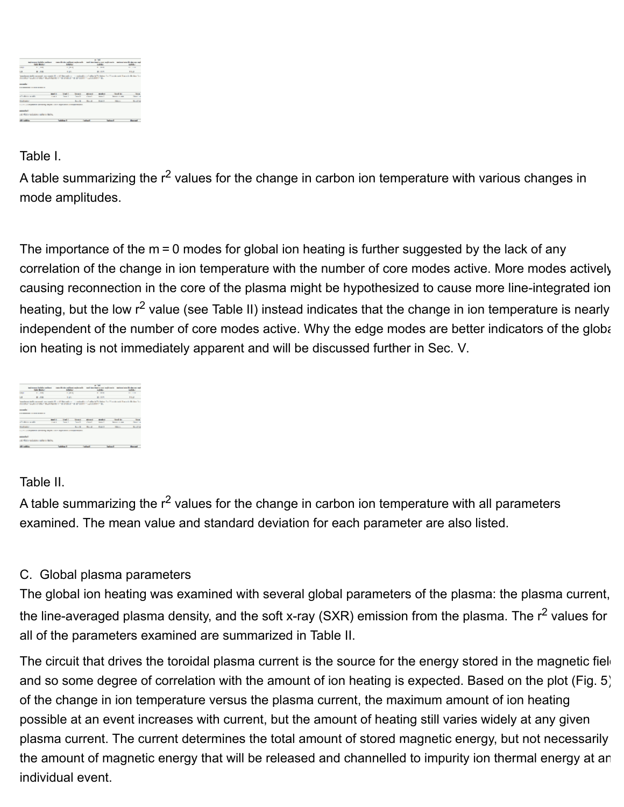|                   | property for their property and<br><b>SA Butu:</b>                                                         | an it is a winest writered<br><b>SIMAL</b>           |                     |                                 | $-74$<br><b><i><u>Institution and Institution</u></i></b><br>LAN: |                                 | ----<br><b>MAR</b>                       |  |
|-------------------|------------------------------------------------------------------------------------------------------------|------------------------------------------------------|---------------------|---------------------------------|-------------------------------------------------------------------|---------------------------------|------------------------------------------|--|
| $-$               | . .                                                                                                        | $-200$                                               |                     | .                               |                                                                   |                                 | $-$                                      |  |
| w                 | 8.58                                                                                                       | 3, 271                                               |                     | ■ 15円                           |                                                                   |                                 | 11.0                                     |  |
| --                | <b>CARD COMPANY</b> IN 1979 BLACK IN 1979<br>all dealers and the                                           | <b>Count of</b><br>$-1$<br><b>Service</b><br>$1 - 1$ | -<br><b>Seattle</b> | $rac{1}{2}$<br>Care of          | mode a<br>$-1$                                                    | --<br><b>Service &amp; comp</b> | $\overline{\phantom{a}}$<br><b>COLOR</b> |  |
| <b>Brighador</b>  |                                                                                                            |                                                      | $3 - 3$             | $B=4$                           | Road E.                                                           | <b>Biker</b>                    | Board at                                 |  |
| <b>Select</b>     | 11.2 K 1.3 IN GROUND COLORING DISCOULS 11.0 A SUCH DECK & CONSIDERED<br>at Waltz suitaines sales in Roles. |                                                      |                     |                                 |                                                                   |                                 |                                          |  |
| <b>STATISTICS</b> |                                                                                                            | <b>CONTRACTOR</b>                                    |                     | <b>The Second Second Second</b> |                                                                   | ---                             |                                          |  |

#### Table I.

A table summarizing the r<sup>2</sup> values for the change in carbon ion temperature with various changes in mode amplitudes.

The importance of the  $m = 0$  modes for global ion heating is further suggested by the lack of any correlation of the change in ion temperature with the number of core modes active. More modes actively causing reconnection in the core of the plasma might be hypothesized to cause more line-integrated ion heating, but the low r<sup>2</sup> value (see Table [II](http://scitation.aip.org/content/aip/journal/pop/21/1/10.1063/1.4861254#t2)) instead indicates that the change in ion temperature is nearly independent of the number of core modes active. Why the edge modes are better indicators of the global ion heating is not immediately apparent and will be discussed further in Sec. [V](http://scitation.aip.org/content/aip/journal/pop/21/1/10.1063/1.4861254#s5).



### Table II.

A table summarizing the r<sup>2</sup> values for the change in carbon ion temperature with all parameters examined. The mean value and standard deviation for each parameter are also listed.

### C. Global plasma parameters

The global ion heating was examined with several global parameters of the plasma: the plasma current, the line-averaged plasma density, and the soft x-ray (SXR) emission from the plasma. The r<sup>2</sup> values for all of the parameters examined are summarized in Table [II](http://scitation.aip.org/content/aip/journal/pop/21/1/10.1063/1.4861254#t2).

The circuit that drives the toroidal plasma current is the source for the energy stored in the magnetic field and so some degree of correlation with the amount of ion heating is expected. Based on the plot (Fig. [5](http://scitation.aip.org/content/aip/journal/pop/21/1/10.1063/1.4861254#f5)) of the change in ion temperature versus the plasma current, the maximum amount of ion heating possible at an event increases with current, but the amount of heating still varies widely at any given plasma current. The current determines the total amount of stored magnetic energy, but not necessarily the amount of magnetic energy that will be released and channelled to impurity ion thermal energy at an individual event.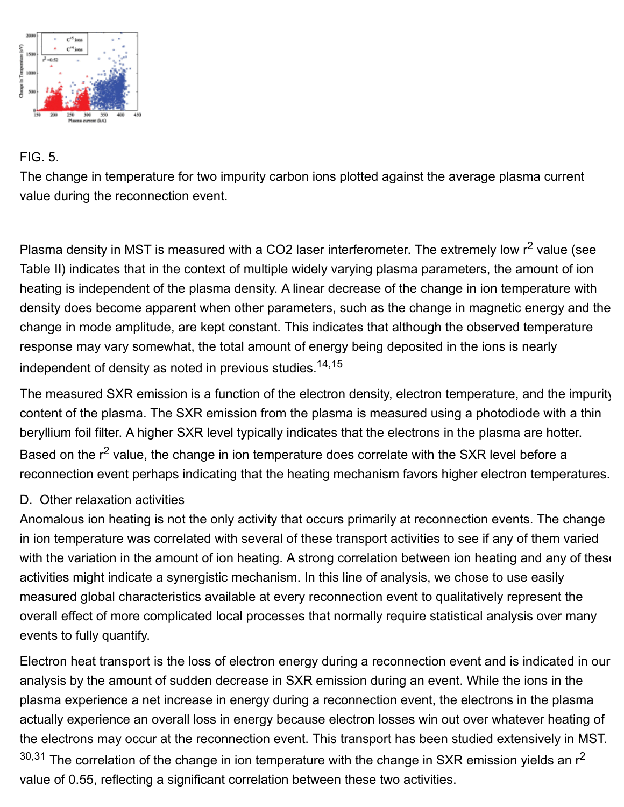

### FIG. 5.

The change in temperature for two impurity carbon ions plotted against the average plasma current value during the reconnection event.

Plasma density in MST is measured with a CO2 laser interferometer. The extremely low r<sup>2</sup> value (see Table [II](http://scitation.aip.org/content/aip/journal/pop/21/1/10.1063/1.4861254#t2)) indicates that in the context of multiple widely varying plasma parameters, the amount of ion heating is independent of the plasma density. A linear decrease of the change in ion temperature with density does become apparent when other parameters, such as the change in magnetic energy and the change in mode amplitude, are kept constant. This indicates that although the observed temperature response may vary somewhat, the total amount of energy being deposited in the ions is nearly independent of density as noted in previous studies.<sup>14,15</sup>

The measured SXR emission is a function of the electron density, electron temperature, and the impurity content of the plasma. The SXR emission from the plasma is measured using a photodiode with a thin beryllium foil filter. A higher SXR level typically indicates that the electrons in the plasma are hotter. Based on the r<sup>2</sup> value, the change in ion temperature does correlate with the SXR level before a reconnection event perhaps indicating that the heating mechanism favors higher electron temperatures.

### D. Other relaxation activities

Anomalous ion heating is not the only activity that occurs primarily at reconnection events. The change in ion temperature was correlated with several of these transport activities to see if any of them varied with the variation in the amount of ion heating. A strong correlation between ion heating and any of these activities might indicate a synergistic mechanism. In this line of analysis, we chose to use easily measured global characteristics available at every reconnection event to qualitatively represent the overall effect of more complicated local processes that normally require statistical analysis over many events to fully quantify.

Electron heat transport is the loss of electron energy during a reconnection event and is indicated in our analysis by the amount of sudden decrease in SXR emission during an event. While the ions in the plasma experience a net increase in energy during a reconnection event, the electrons in the plasma actually experience an overall loss in energy because electron losses win out over whatever heating of the electrons may occur at the reconnection event. This transport has been studied extensively in MST.  $30,31$  The correlation of the change in ion temperature with the change in SXR emission yields an  $r^2$ value of 0.55, reflecting a significant correlation between these two activities.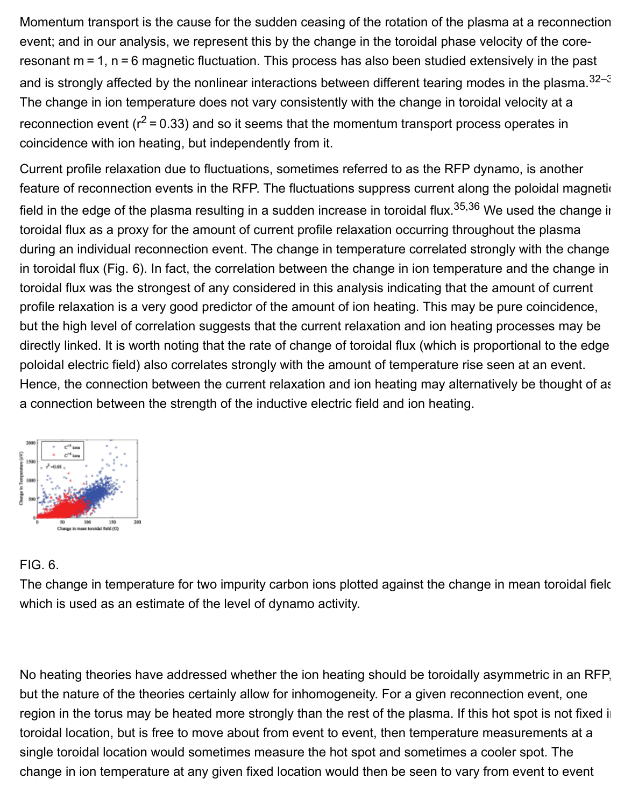Momentum transport is the cause for the sudden ceasing of the rotation of the plasma at a reconnection event; and in our analysis, we represent this by the change in the toroidal phase velocity of the coreresonant m = 1, n = 6 magnetic fluctuation. This process has also been studied extensively in the past and is strongly affected by the nonlinear interactions between different tearing modes in the plasma.  $32-34$ The change in ion temperature does not vary consistently with the change in toroidal velocity at a reconnection event ( $r^2$  = 0.33) and so it seems that the momentum transport process operates in coincidence with ion heating, but independently from it.

Current profile relaxation due to fluctuations, sometimes referred to as the RFP dynamo, is another feature of reconnection events in the RFP. The fluctuations suppress current along the poloidal magnetic field in the edge of the plasma resulting in a sudden increase in toroidal flux.<sup>35,36</sup> We used the change in toroidal flux as a proxy for the amount of current profile relaxation occurring throughout the plasma during an individual reconnection event. The change in temperature correlated strongly with the change in toroidal flux (Fig. [6\)](http://scitation.aip.org/content/aip/journal/pop/21/1/10.1063/1.4861254#f6). In fact, the correlation between the change in ion temperature and the change in toroidal flux was the strongest of any considered in this analysis indicating that the amount of current profile relaxation is a very good predictor of the amount of ion heating. This may be pure coincidence, but the high level of correlation suggests that the current relaxation and ion heating processes may be directly linked. It is worth noting that the rate of change of toroidal flux (which is proportional to the edge poloidal electric field) also correlates strongly with the amount of temperature rise seen at an event. Hence, the connection between the current relaxation and ion heating may alternatively be thought of as a connection between the strength of the inductive electric field and ion heating.



### FIG. 6.

The change in temperature for two impurity carbon ions plotted against the change in mean toroidal field which is used as an estimate of the level of dynamo activity.

No heating theories have addressed whether the ion heating should be toroidally asymmetric in an RFP, but the nature of the theories certainly allow for inhomogeneity. For a given reconnection event, one region in the torus may be heated more strongly than the rest of the plasma. If this hot spot is not fixed in toroidal location, but is free to move about from event to event, then temperature measurements at a single toroidal location would sometimes measure the hot spot and sometimes a cooler spot. The change in ion temperature at any given fixed location would then be seen to vary from event to event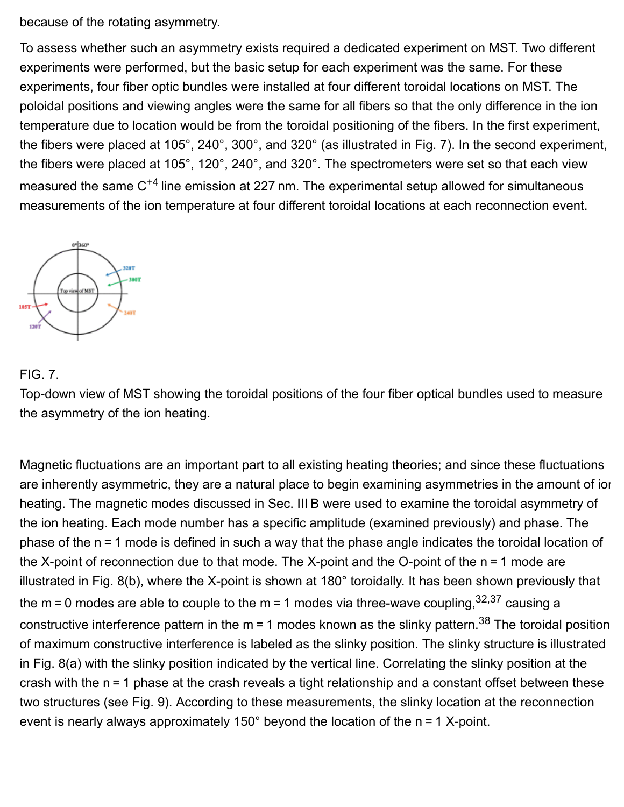because of the rotating asymmetry.

To assess whether such an asymmetry exists required a dedicated experiment on MST. Two different experiments were performed, but the basic setup for each experiment was the same. For these experiments, four fiber optic bundles were installed at four different toroidal locations on MST. The poloidal positions and viewing angles were the same for all fibers so that the only difference in the ion temperature due to location would be from the toroidal positioning of the fibers. In the first experiment, the fibers were placed at 105°, 240°, 300°, and 320° (as illustrated in Fig. [7](http://scitation.aip.org/content/aip/journal/pop/21/1/10.1063/1.4861254#f7)). In the second experiment, the fibers were placed at 105°, 120°, 240°, and 320°. The spectrometers were set so that each view measured the same C+4 line emission at 227 nm. The experimental setup allowed for simultaneous measurements of the ion temperature at four different toroidal locations at each reconnection event.



#### FIG. 7.

Top-down view of MST showing the toroidal positions of the four fiber optical bundles used to measure the asymmetry of the ion heating.

Magnetic fluctuations are an important part to all existing heating theories; and since these fluctuations are inherently asymmetric, they are a natural place to begin examining asymmetries in the amount of ion heating. The magnetic modes discussed in Sec. [III](http://scitation.aip.org/content/aip/journal/pop/21/1/10.1063/1.4861254#s3B) B were used to examine the toroidal asymmetry of the ion heating. Each mode number has a specific amplitude (examined previously) and phase. The phase of the n = 1 mode is defined in such a way that the phase angle indicates the toroidal location of the X-point of reconnection due to that mode. The X-point and the O-point of the n = 1 mode are illustrated in Fig. [8\(b\)](http://scitation.aip.org/content/aip/journal/pop/21/1/10.1063/1.4861254#f8), where the X-point is shown at 180° toroidally. It has been shown previously that the  $m = 0$  modes are able to couple to the  $m = 1$  modes via three-wave coupling,  $32,37$  causing a constructive interference pattern in the  $m = 1$  modes known as the slinky pattern.<sup>[38](http://scitation.aip.org/content/aip/journal/pop/21/1/10.1063/1.4861254#c38)</sup> The toroidal position of maximum constructive interference is labeled as the slinky position. The slinky structure is illustrated in Fig. [8\(a\)](http://scitation.aip.org/content/aip/journal/pop/21/1/10.1063/1.4861254#f8) with the slinky position indicated by the vertical line. Correlating the slinky position at the crash with the n = 1 phase at the crash reveals a tight relationship and a constant offset between these two structures (see Fig. [9](http://scitation.aip.org/content/aip/journal/pop/21/1/10.1063/1.4861254#f9)). According to these measurements, the slinky location at the reconnection event is nearly always approximately 150° beyond the location of the n = 1 X-point.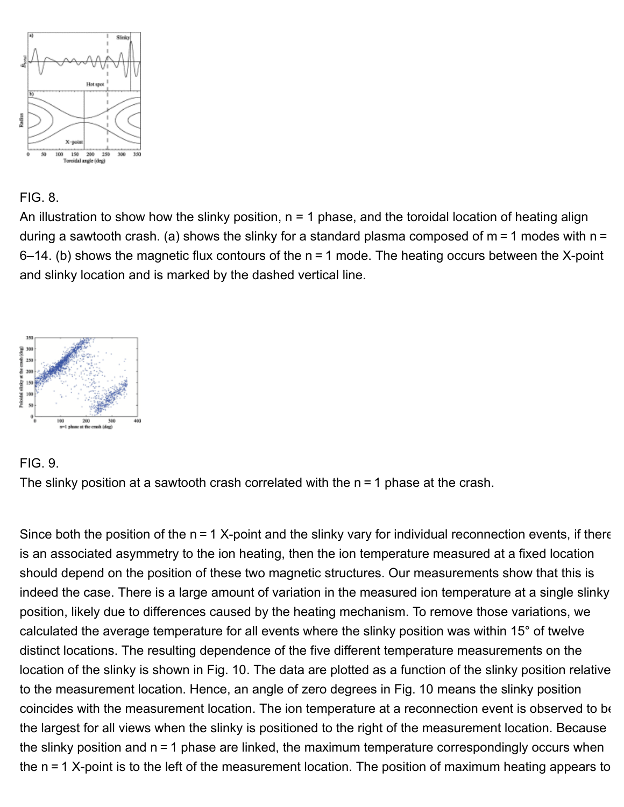

#### FIG. 8.

An illustration to show how the slinky position,  $n = 1$  phase, and the toroidal location of heating align during a sawtooth crash. (a) shows the slinky for a standard plasma composed of  $m = 1$  modes with  $n =$ 6–14. (b) shows the magnetic flux contours of the  $n = 1$  mode. The heating occurs between the X-point and slinky location and is marked by the dashed vertical line.



### FIG. 9.

The slinky position at a sawtooth crash correlated with the n = 1 phase at the crash.

Since both the position of the n = 1 X-point and the slinky vary for individual reconnection events, if there is an associated asymmetry to the ion heating, then the ion temperature measured at a fixed location should depend on the position of these two magnetic structures. Our measurements show that this is indeed the case. There is a large amount of variation in the measured ion temperature at a single slinky position, likely due to differences caused by the heating mechanism. To remove those variations, we calculated the average temperature for all events where the slinky position was within 15° of twelve distinct locations. The resulting dependence of the five different temperature measurements on the location of the slinky is shown in Fig. [10](http://scitation.aip.org/content/aip/journal/pop/21/1/10.1063/1.4861254#f10). The data are plotted as a function of the slinky position relative to the measurement location. Hence, an angle of zero degrees in Fig. [10](http://scitation.aip.org/content/aip/journal/pop/21/1/10.1063/1.4861254#f10) means the slinky position coincides with the measurement location. The ion temperature at a reconnection event is observed to be the largest for all views when the slinky is positioned to the right of the measurement location. Because the slinky position and  $n = 1$  phase are linked, the maximum temperature correspondingly occurs when the n = 1 X-point is to the left of the measurement location. The position of maximum heating appears to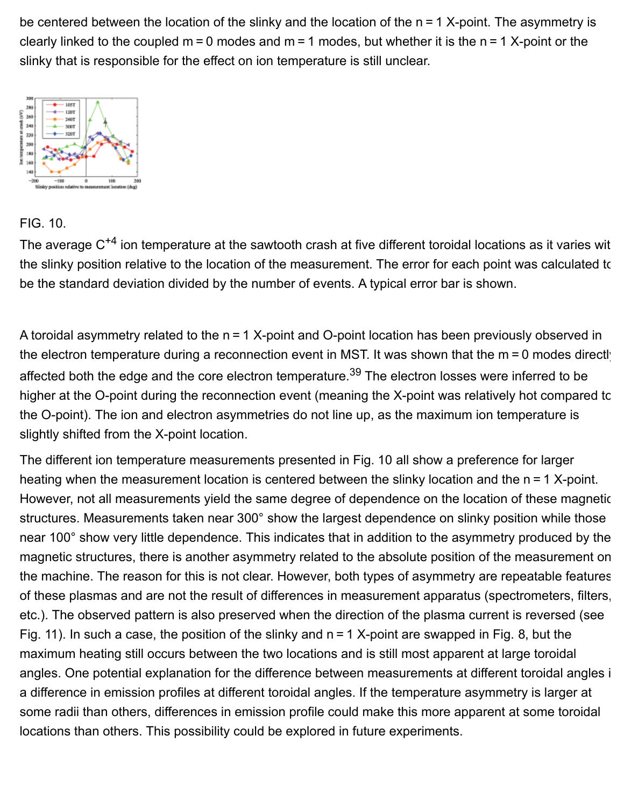be centered between the location of the slinky and the location of the n = 1 X-point. The asymmetry is clearly linked to the coupled  $m = 0$  modes and  $m = 1$  modes, but whether it is the  $n = 1$  X-point or the slinky that is responsible for the effect on ion temperature is still unclear.



#### FIG. 10.

The average  $C^{+4}$  ion temperature at the sawtooth crash at five different toroidal locations as it varies wit the slinky position relative to the location of the measurement. The error for each point was calculated to be the standard deviation divided by the number of events. A typical error bar is shown.

A toroidal asymmetry related to the n = 1 X-point and O-point location has been previously observed in the electron temperature during a reconnection event in MST. It was shown that the m = 0 modes directly affected both the edge and the core electron temperature.<sup>[39](http://scitation.aip.org/content/aip/journal/pop/21/1/10.1063/1.4861254#c39)</sup> The electron losses were inferred to be higher at the O-point during the reconnection event (meaning the X-point was relatively hot compared to the O-point). The ion and electron asymmetries do not line up, as the maximum ion temperature is slightly shifted from the X-point location.

The different ion temperature measurements presented in Fig. [10](http://scitation.aip.org/content/aip/journal/pop/21/1/10.1063/1.4861254#f10) all show a preference for larger heating when the measurement location is centered between the slinky location and the n = 1 X-point. However, not all measurements yield the same degree of dependence on the location of these magnetic structures. Measurements taken near 300° show the largest dependence on slinky position while those near 100° show very little dependence. This indicates that in addition to the asymmetry produced by the magnetic structures, there is another asymmetry related to the absolute position of the measurement on the machine. The reason for this is not clear. However, both types of asymmetry are repeatable features of these plasmas and are not the result of differences in measurement apparatus (spectrometers, filters, etc.). The observed pattern is also preserved when the direction of the plasma current is reversed (see Fig. [11](http://scitation.aip.org/content/aip/journal/pop/21/1/10.1063/1.4861254#f11)). In such a case, the position of the slinky and  $n = 1$  X-point are swapped in Fig. [8](http://scitation.aip.org/content/aip/journal/pop/21/1/10.1063/1.4861254#f8), but the maximum heating still occurs between the two locations and is still most apparent at large toroidal angles. One potential explanation for the difference between measurements at different toroidal angles is a difference in emission profiles at different toroidal angles. If the temperature asymmetry is larger at some radii than others, differences in emission profile could make this more apparent at some toroidal locations than others. This possibility could be explored in future experiments.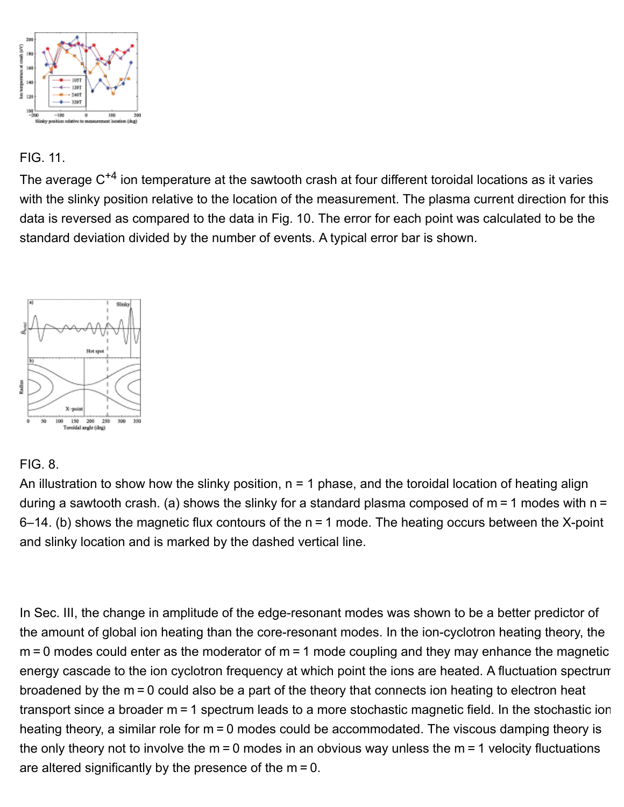

#### FIG. 11.

The average C<sup>+4</sup> ion temperature at the sawtooth crash at four different toroidal locations as it varies with the slinky position relative to the location of the measurement. The plasma current direction for this data is reversed as compared to the data in Fig. [10](http://scitation.aip.org/content/aip/journal/pop/21/1/10.1063/1.4861254#f10). The error for each point was calculated to be the standard deviation divided by the number of events. A typical error bar is shown.



#### FIG. 8.

An illustration to show how the slinky position,  $n = 1$  phase, and the toroidal location of heating align during a sawtooth crash. (a) shows the slinky for a standard plasma composed of  $m = 1$  modes with  $n =$  $6-14$ . (b) shows the magnetic flux contours of the  $n = 1$  mode. The heating occurs between the X-point and slinky location and is marked by the dashed vertical line.

In Sec. [III](http://scitation.aip.org/content/aip/journal/pop/21/1/10.1063/1.4861254#s3), the change in amplitude of the edge-resonant modes was shown to be a better predictor of the amount of global ion heating than the core-resonant modes. In the ion-cyclotron heating theory, the  $m = 0$  modes could enter as the moderator of  $m = 1$  mode coupling and they may enhance the magnetic energy cascade to the ion cyclotron frequency at which point the ions are heated. A fluctuation spectrum broadened by the m = 0 could also be a part of the theory that connects ion heating to electron heat transport since a broader m = 1 spectrum leads to a more stochastic magnetic field. In the stochastic ion heating theory, a similar role for m = 0 modes could be accommodated. The viscous damping theory is the only theory not to involve the  $m = 0$  modes in an obvious way unless the  $m = 1$  velocity fluctuations are altered significantly by the presence of the  $m = 0$ .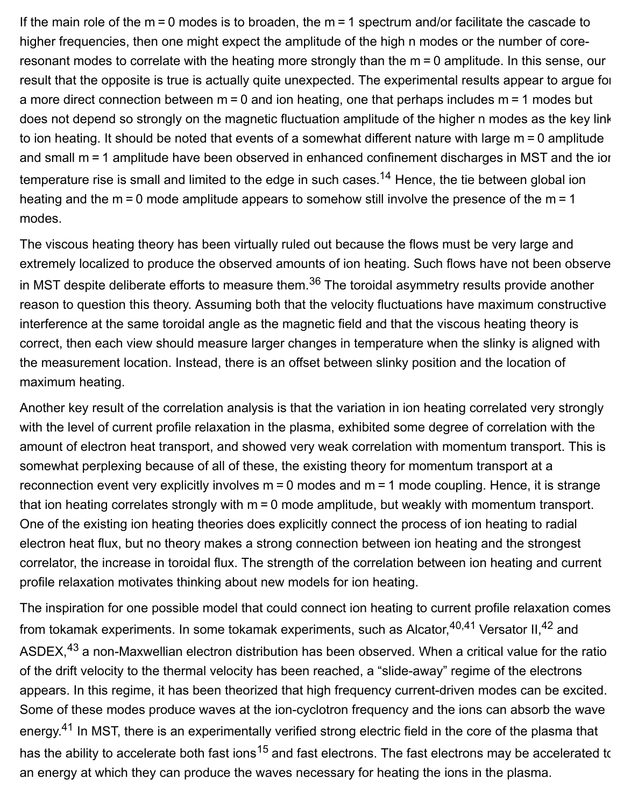If the main role of the  $m = 0$  modes is to broaden, the  $m = 1$  spectrum and/or facilitate the cascade to higher frequencies, then one might expect the amplitude of the high n modes or the number of coreresonant modes to correlate with the heating more strongly than the m = 0 amplitude. In this sense, our result that the opposite is true is actually quite unexpected. The experimental results appear to argue for a more direct connection between  $m = 0$  and ion heating, one that perhaps includes  $m = 1$  modes but does not depend so strongly on the magnetic fluctuation amplitude of the higher n modes as the key link to ion heating. It should be noted that events of a somewhat different nature with large m = 0 amplitude and small m = 1 amplitude have been observed in enhanced confinement discharges in MST and the ion temperature rise is small and limited to the edge in such cases.<sup>14</sup> Hence, the tie between global ion heating and the  $m = 0$  mode amplitude appears to somehow still involve the presence of the  $m = 1$ modes.

The viscous heating theory has been virtually ruled out because the flows must be very large and extremely localized to produce the observed amounts of ion heating. Such flows have not been observe in MST despite deliberate efforts to measure them. $36$  The toroidal asymmetry results provide another reason to question this theory. Assuming both that the velocity fluctuations have maximum constructive interference at the same toroidal angle as the magnetic field and that the viscous heating theory is correct, then each view should measure larger changes in temperature when the slinky is aligned with the measurement location. Instead, there is an offset between slinky position and the location of maximum heating.

Another key result of the correlation analysis is that the variation in ion heating correlated very strongly with the level of current profile relaxation in the plasma, exhibited some degree of correlation with the amount of electron heat transport, and showed very weak correlation with momentum transport. This is somewhat perplexing because of all of these, the existing theory for momentum transport at a reconnection event very explicitly involves  $m = 0$  modes and  $m = 1$  mode coupling. Hence, it is strange that ion heating correlates strongly with m = 0 mode amplitude, but weakly with momentum transport. One of the existing ion heating theories does explicitly connect the process of ion heating to radial electron heat flux, but no theory makes a strong connection between ion heating and the strongest correlator, the increase in toroidal flux. The strength of the correlation between ion heating and current profile relaxation motivates thinking about new models for ion heating.

The inspiration for one possible model that could connect ion heating to current profile relaxation comes from tokamak experiments. In some tokamak experiments, such as Alcator,<sup>[40,41](http://scitation.aip.org/content/aip/journal/pop/21/1/10.1063/1.4861254#c40)</sup> Versator II,<sup>42</sup> and ASDEX,[43](http://scitation.aip.org/content/aip/journal/pop/21/1/10.1063/1.4861254#c43) a non-Maxwellian electron distribution has been observed. When a critical value for the ratio of the drift velocity to the thermal velocity has been reached, a "slide-away" regime of the electrons appears. In this regime, it has been theorized that high frequency current-driven modes can be excited. Some of these modes produce waves at the ion-cyclotron frequency and the ions can absorb the wave energy.<sup>41</sup> In MST, there is an experimentally verified strong electric field in the core of the plasma that has the ability to accelerate both fast ions<sup>[15](http://scitation.aip.org/content/aip/journal/pop/21/1/10.1063/1.4861254#c15)</sup> and fast electrons. The fast electrons may be accelerated to an energy at which they can produce the waves necessary for heating the ions in the plasma.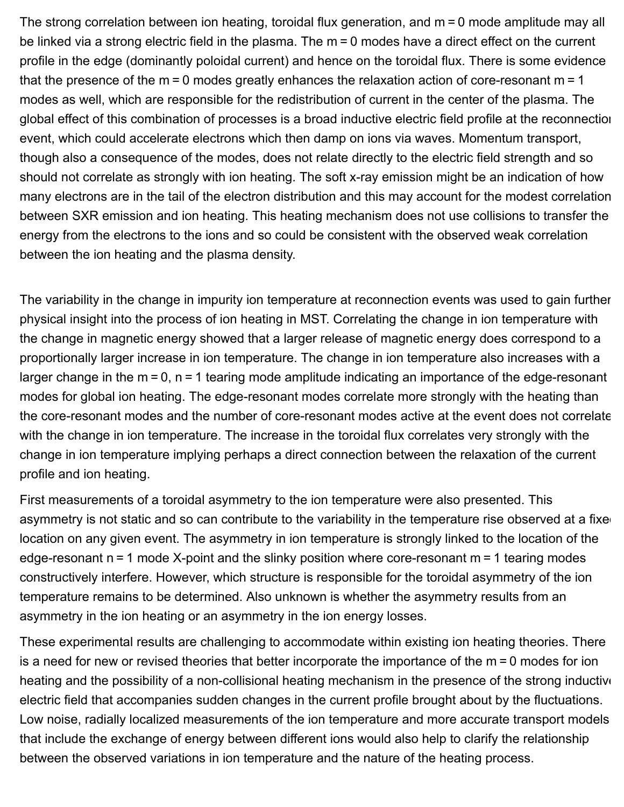The strong correlation between ion heating, toroidal flux generation, and m = 0 mode amplitude may all be linked via a strong electric field in the plasma. The m = 0 modes have a direct effect on the current profile in the edge (dominantly poloidal current) and hence on the toroidal flux. There is some evidence that the presence of the  $m = 0$  modes greatly enhances the relaxation action of core-resonant  $m = 1$ modes as well, which are responsible for the redistribution of current in the center of the plasma. The global effect of this combination of processes is a broad inductive electric field profile at the reconnection event, which could accelerate electrons which then damp on ions via waves. Momentum transport, though also a consequence of the modes, does not relate directly to the electric field strength and so should not correlate as strongly with ion heating. The soft x-ray emission might be an indication of how many electrons are in the tail of the electron distribution and this may account for the modest correlation between SXR emission and ion heating. This heating mechanism does not use collisions to transfer the energy from the electrons to the ions and so could be consistent with the observed weak correlation between the ion heating and the plasma density.

The variability in the change in impurity ion temperature at reconnection events was used to gain further physical insight into the process of ion heating in MST. Correlating the change in ion temperature with the change in magnetic energy showed that a larger release of magnetic energy does correspond to a proportionally larger increase in ion temperature. The change in ion temperature also increases with a larger change in the  $m = 0$ ,  $n = 1$  tearing mode amplitude indicating an importance of the edge-resonant modes for global ion heating. The edge-resonant modes correlate more strongly with the heating than the core-resonant modes and the number of core-resonant modes active at the event does not correlate with the change in ion temperature. The increase in the toroidal flux correlates very strongly with the change in ion temperature implying perhaps a direct connection between the relaxation of the current profile and ion heating.

First measurements of a toroidal asymmetry to the ion temperature were also presented. This asymmetry is not static and so can contribute to the variability in the temperature rise observed at a fixe location on any given event. The asymmetry in ion temperature is strongly linked to the location of the edge-resonant  $n = 1$  mode X-point and the slinky position where core-resonant  $m = 1$  tearing modes constructively interfere. However, which structure is responsible for the toroidal asymmetry of the ion temperature remains to be determined. Also unknown is whether the asymmetry results from an asymmetry in the ion heating or an asymmetry in the ion energy losses.

These experimental results are challenging to accommodate within existing ion heating theories. There is a need for new or revised theories that better incorporate the importance of the m = 0 modes for ion heating and the possibility of a non-collisional heating mechanism in the presence of the strong inductive electric field that accompanies sudden changes in the current profile brought about by the fluctuations. Low noise, radially localized measurements of the ion temperature and more accurate transport models that include the exchange of energy between different ions would also help to clarify the relationship between the observed variations in ion temperature and the nature of the heating process.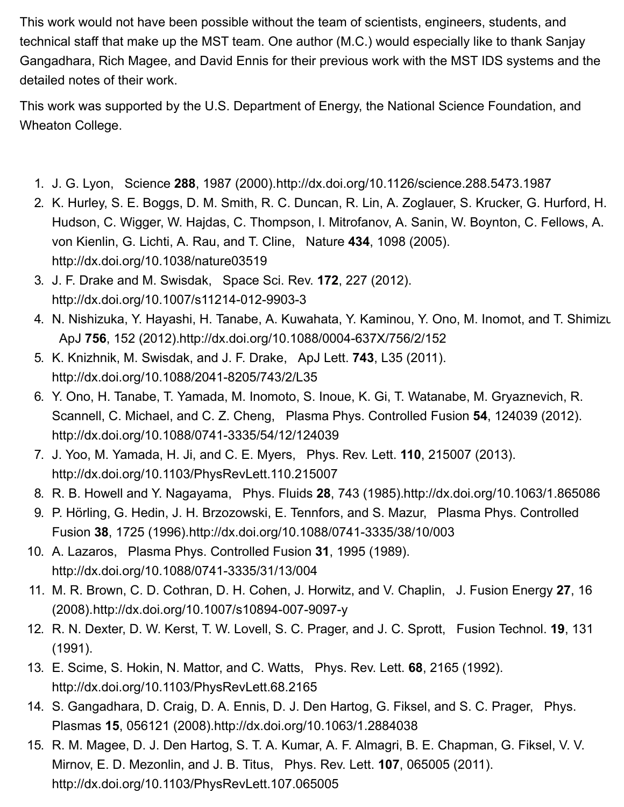This work would not have been possible without the team of scientists, engineers, students, and technical staff that make up the MST team. One author (M.C.) would especially like to thank Sanjay Gangadhara, Rich Magee, and David Ennis for their previous work with the MST IDS systems and the detailed notes of their work.

This work was supported by the U.S. Department of Energy, the National Science Foundation, and Wheaton College.

- 1. J. G. Lyon, Science **288**, 1987 (2000)[.http://dx.doi.org/10.1126/science.288.5473.1987](http://dx.doi.org/10.1126/science.288.5473.1987)
- 2. K. Hurley, S. E. Boggs, D. M. Smith, R. C. Duncan, R. Lin, A. Zoglauer, S. Krucker, G. Hurford, H. Hudson, C. Wigger, W. Hajdas, C. Thompson, I. Mitrofanov, A. Sanin, W. Boynton, C. Fellows, A. von Kienlin, G. Lichti, A. Rau, and T. Cline, Nature **434**, 1098 (2005). <http://dx.doi.org/10.1038/nature03519>
- 3. J. F. Drake and M. Swisdak, Space Sci. Rev. **172**, 227 (2012). <http://dx.doi.org/10.1007/s11214-012-9903-3>
- 4. N. Nishizuka, Y. Hayashi, H. Tanabe, A. Kuwahata, Y. Kaminou, Y. Ono, M. Inomot, and T. Shimizu, ApJ **756**, 152 (2012)[.http://dx.doi.org/10.1088/0004-637X/756/2/152](http://dx.doi.org/10.1088/0004-637X/756/2/152)
- 5. K. Knizhnik, M. Swisdak, and J. F. Drake, ApJ Lett. **743**, L35 (2011). <http://dx.doi.org/10.1088/2041-8205/743/2/L35>
- 6. Y. Ono, H. Tanabe, T. Yamada, M. Inomoto, S. Inoue, K. Gi, T. Watanabe, M. Gryaznevich, R. Scannell, C. Michael, and C. Z. Cheng, Plasma Phys. Controlled Fusion **54**, 124039 (2012). <http://dx.doi.org/10.1088/0741-3335/54/12/124039>
- 7. J. Yoo, M. Yamada, H. Ji, and C. E. Myers, Phys. Rev. Lett. **110**, 215007 (2013). <http://dx.doi.org/10.1103/PhysRevLett.110.215007>
- 8. R. B. Howell and Y. Nagayama, Phys. Fluids **28**, 743 (1985)[.http://dx.doi.org/10.1063/1.865086](http://dx.doi.org/10.1063/1.865086)
- 9. P. Hörling, G. Hedin, J. H. Brzozowski, E. Tennfors, and S. Mazur, Plasma Phys. Controlled Fusion **38**, 1725 (1996)[.http://dx.doi.org/10.1088/0741-3335/38/10/003](http://dx.doi.org/10.1088/0741-3335/38/10/003)
- 10. A. Lazaros, Plasma Phys. Controlled Fusion **31**, 1995 (1989). <http://dx.doi.org/10.1088/0741-3335/31/13/004>
- 11. M. R. Brown, C. D. Cothran, D. H. Cohen, J. Horwitz, and V. Chaplin, J. Fusion Energy **27**, 16 (2008)[.http://dx.doi.org/10.1007/s10894-007-9097-y](http://dx.doi.org/10.1007/s10894-007-9097-y)
- 12. R. N. Dexter, D. W. Kerst, T. W. Lovell, S. C. Prager, and J. C. Sprott, Fusion Technol. **19**, 131 (1991).
- 13. E. Scime, S. Hokin, N. Mattor, and C. Watts, Phys. Rev. Lett. **68**, 2165 (1992). <http://dx.doi.org/10.1103/PhysRevLett.68.2165>
- 14. S. Gangadhara, D. Craig, D. A. Ennis, D. J. Den Hartog, G. Fiksel, and S. C. Prager, Phys. Plasmas **15**, 056121 (2008)[.http://dx.doi.org/10.1063/1.2884038](http://dx.doi.org/10.1063/1.2884038)
- 15. R. M. Magee, D. J. Den Hartog, S. T. A. Kumar, A. F. Almagri, B. E. Chapman, G. Fiksel, V. V. Mirnov, E. D. Mezonlin, and J. B. Titus, Phys. Rev. Lett. **107**, 065005 (2011). <http://dx.doi.org/10.1103/PhysRevLett.107.065005>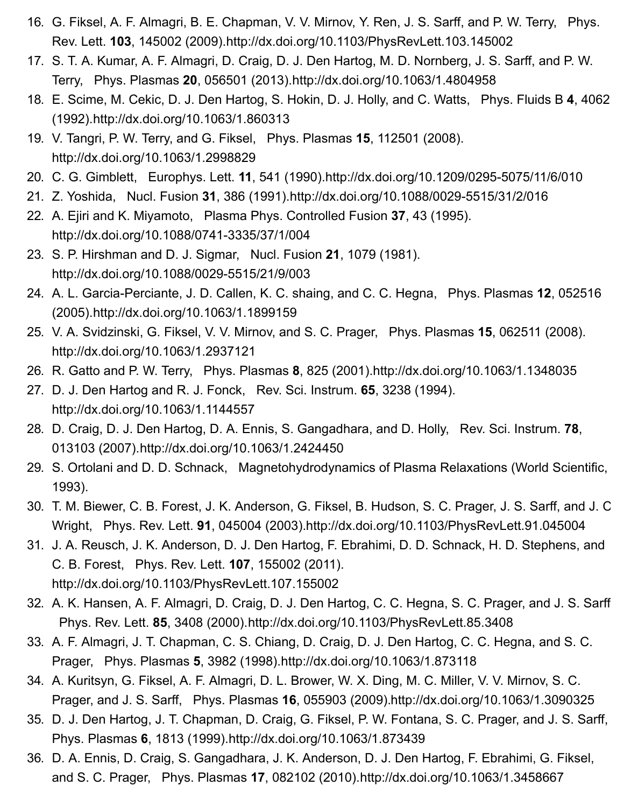- 16. G. Fiksel, A. F. Almagri, B. E. Chapman, V. V. Mirnov, Y. Ren, J. S. Sarff, and P. W. Terry, Phys. Rev. Lett. **103**, 145002 (2009)[.http://dx.doi.org/10.1103/PhysRevLett.103.145002](http://dx.doi.org/10.1103/PhysRevLett.103.145002)
- 17. S. T. A. Kumar, A. F. Almagri, D. Craig, D. J. Den Hartog, M. D. Nornberg, J. S. Sarff, and P. W. Terry, Phys. Plasmas **20**, 056501 (2013)[.http://dx.doi.org/10.1063/1.4804958](http://dx.doi.org/10.1063/1.4804958)
- 18. E. Scime, M. Cekic, D. J. Den Hartog, S. Hokin, D. J. Holly, and C. Watts, Phys. Fluids B **4**, 4062 (1992)[.http://dx.doi.org/10.1063/1.860313](http://dx.doi.org/10.1063/1.860313)
- 19. V. Tangri, P. W. Terry, and G. Fiksel, Phys. Plasmas **15**, 112501 (2008). <http://dx.doi.org/10.1063/1.2998829>
- 20. C. G. Gimblett, Europhys. Lett. **11**, 541 (1990)[.http://dx.doi.org/10.1209/0295-5075/11/6/010](http://dx.doi.org/10.1209/0295-5075/11/6/010)
- 21. Z. Yoshida, Nucl. Fusion **31**, 386 (1991)[.http://dx.doi.org/10.1088/0029-5515/31/2/016](http://dx.doi.org/10.1088/0029-5515/31/2/016)
- 22. A. Ejiri and K. Miyamoto, Plasma Phys. Controlled Fusion **37**, 43 (1995). <http://dx.doi.org/10.1088/0741-3335/37/1/004>
- 23. S. P. Hirshman and D. J. Sigmar, Nucl. Fusion **21**, 1079 (1981). <http://dx.doi.org/10.1088/0029-5515/21/9/003>
- 24. A. L. Garcia-Perciante, J. D. Callen, K. C. shaing, and C. C. Hegna, Phys. Plasmas **12**, 052516 (2005)[.http://dx.doi.org/10.1063/1.1899159](http://dx.doi.org/10.1063/1.1899159)
- 25. V. A. Svidzinski, G. Fiksel, V. V. Mirnov, and S. C. Prager, Phys. Plasmas **15**, 062511 (2008). <http://dx.doi.org/10.1063/1.2937121>
- 26. R. Gatto and P. W. Terry, Phys. Plasmas **8**, 825 (2001)[.http://dx.doi.org/10.1063/1.1348035](http://dx.doi.org/10.1063/1.1348035)
- 27. D. J. Den Hartog and R. J. Fonck, Rev. Sci. Instrum. **65**, 3238 (1994). <http://dx.doi.org/10.1063/1.1144557>
- 28. D. Craig, D. J. Den Hartog, D. A. Ennis, S. Gangadhara, and D. Holly, Rev. Sci. Instrum. **78**, 013103 (2007).<http://dx.doi.org/10.1063/1.2424450>
- 29. S. Ortolani and D. D. Schnack, Magnetohydrodynamics of Plasma Relaxations (World Scientific, 1993).
- 30. T. M. Biewer, C. B. Forest, J. K. Anderson, G. Fiksel, B. Hudson, S. C. Prager, J. S. Sarff, and J. C. Wright, Phys. Rev. Lett. **91**, 045004 (2003)[.http://dx.doi.org/10.1103/PhysRevLett.91.045004](http://dx.doi.org/10.1103/PhysRevLett.91.045004)
- 31. J. A. Reusch, J. K. Anderson, D. J. Den Hartog, F. Ebrahimi, D. D. Schnack, H. D. Stephens, and C. B. Forest, Phys. Rev. Lett. **107**, 155002 (2011). <http://dx.doi.org/10.1103/PhysRevLett.107.155002>
- 32. A. K. Hansen, A. F. Almagri, D. Craig, D. J. Den Hartog, C. C. Hegna, S. C. Prager, and J. S. Sarff, Phys. Rev. Lett. **85**, 3408 (2000)[.http://dx.doi.org/10.1103/PhysRevLett.85.3408](http://dx.doi.org/10.1103/PhysRevLett.85.3408)
- 33. A. F. Almagri, J. T. Chapman, C. S. Chiang, D. Craig, D. J. Den Hartog, C. C. Hegna, and S. C. Prager, Phys. Plasmas **5**, 3982 (1998)[.http://dx.doi.org/10.1063/1.873118](http://dx.doi.org/10.1063/1.873118)
- 34. A. Kuritsyn, G. Fiksel, A. F. Almagri, D. L. Brower, W. X. Ding, M. C. Miller, V. V. Mirnov, S. C. Prager, and J. S. Sarff, Phys. Plasmas **16**, 055903 (2009)[.http://dx.doi.org/10.1063/1.3090325](http://dx.doi.org/10.1063/1.3090325)
- 35. D. J. Den Hartog, J. T. Chapman, D. Craig, G. Fiksel, P. W. Fontana, S. C. Prager, and J. S. Sarff, Phys. Plasmas **6**, 1813 (1999)[.http://dx.doi.org/10.1063/1.873439](http://dx.doi.org/10.1063/1.873439)
- 36. D. A. Ennis, D. Craig, S. Gangadhara, J. K. Anderson, D. J. Den Hartog, F. Ebrahimi, G. Fiksel, and S. C. Prager, Phys. Plasmas **17**, 082102 (2010)[.http://dx.doi.org/10.1063/1.3458667](http://dx.doi.org/10.1063/1.3458667)